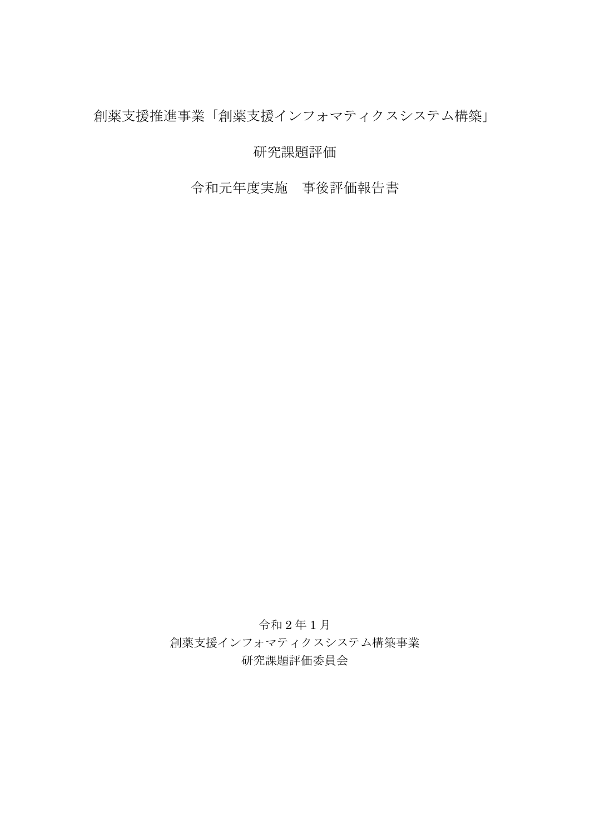創薬支援推進事業「創薬支援インフォマティクスシステム構築」

研究課題評価

令和元年度実施 事後評価報告書

令和 2 年 1 月 創薬支援インフォマティクスシステム構築事業 研究課題評価委員会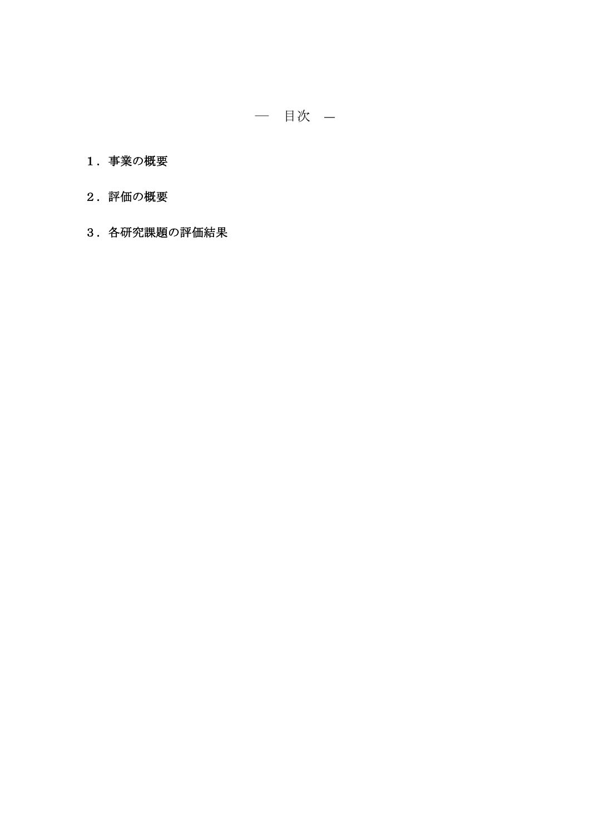- 1.事業の概要
- 2.評価の概要
- 3.各研究課題の評価結果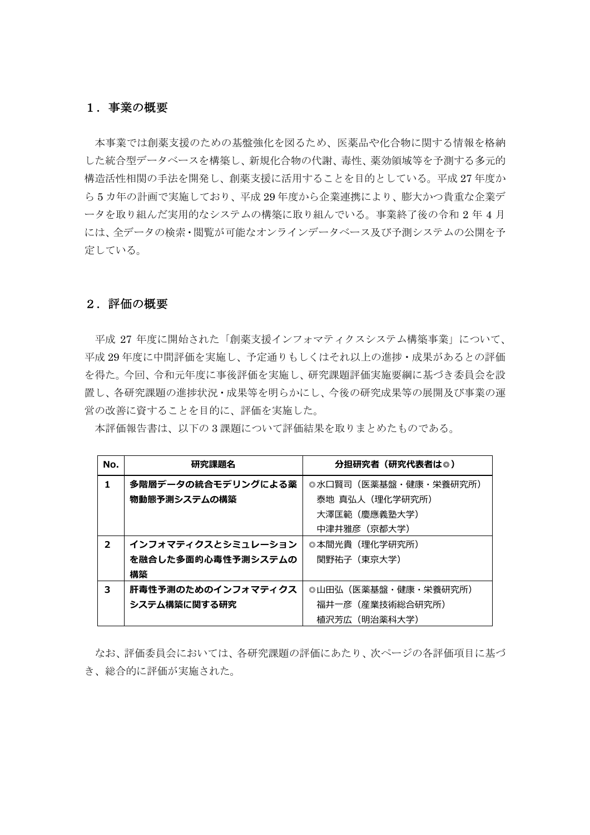## 1.事業の概要

本事業では創薬支援のための基盤強化を図るため、医薬品や化合物に関する情報を格納 した統合型データベースを構築し、新規化合物の代謝、毒性、薬効領域等を予測する多元的 構造活性相関の手法を開発し、創薬支援に活用することを目的としている。平成 27 年度か ら 5 カ年の計画で実施しており、平成 29 年度から企業連携により、膨大かつ貴重な企業デ ータを取り組んだ実用的なシステムの構築に取り組んでいる。事業終了後の令和 2 年 4 月 には、全データの検索・閲覧が可能なオンラインデータベース及び予測システムの公開を予 定している。

## 2.評価の概要

平成 27 年度に開始された「創薬支援インフォマティクスシステム構築事業」について、 平成 29 年度に中間評価を実施し、予定通りもしくはそれ以上の進捗・成果があるとの評価 を得た。今回、令和元年度に事後評価を実施し、研究課題評価実施要綱に基づき委員会を設 置し、各研究課題の進捗状況・成果等を明らかにし、今後の研究成果等の展開及び事業の運 営の改善に資することを目的に、評価を実施した。

本評価報告書は、以下の 3 課題について評価結果を取りまとめたものである。

| No.            | 研究課題名              | 分担研究者(研究代表者は◎)       |
|----------------|--------------------|----------------------|
| 1              | 多階層データの統合モデリングによる薬 | ◎水口賢司(医薬基盤・健康・栄養研究所) |
|                | 物動態予測システムの構築       | 泰地 真弘人(理化学研究所)       |
|                |                    | 大澤匡範(慶應義塾大学)         |
|                |                    | 中津井雅彦(京都大学)          |
| $\overline{2}$ | インフォマティクスとシミュレーション | ◎本間光貴(理化学研究所)        |
|                | を融合した多面的心毒性予測システムの | 関野祐子(東京大学)           |
|                | 構築                 |                      |
| 3              | 肝毒性予測のためのインフォマティクス | ◎山田弘(医薬基盤・健康・栄養研究所)  |
|                | システム構築に関する研究       | 福井一彦(産業技術総合研究所)      |
|                |                    | 植沢芳広(明治薬科大学)         |

なお、評価委員会においては、各研究課題の評価にあたり、次ページの各評価項目に基づ き、総合的に評価が実施された。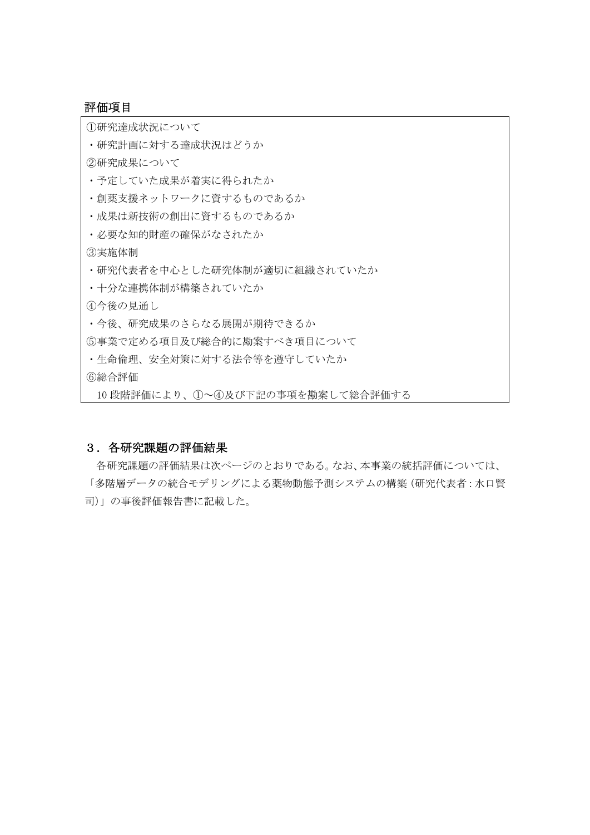## 評価項目

①研究達成状況について

・研究計画に対する達成状況はどうか

②研究成果について

- ・予定していた成果が着実に得られたか
- ・創薬支援ネットワークに資するものであるか
- ・成果は新技術の創出に資するものであるか
- ・必要な知的財産の確保がなされたか

③実施体制

- ・研究代表者を中心とした研究体制が適切に組織されていたか
- ・十分な連携体制が構築されていたか

④今後の見通し

- ・今後、研究成果のさらなる展開が期待できるか
- ⑤事業で定める項目及び総合的に勘案すべき項目について
- ・生命倫理、安全対策に対する法令等を遵守していたか
- ⑥総合評価

10 段階評価により、①~④及び下記の事項を勘案して総合評価する

#### 3.各研究課題の評価結果

各研究課題の評価結果は次ページのとおりである。なお、本事業の統括評価については、 「多階層データの統合モデリングによる薬物動態予測システムの構築(研究代表者:水口賢 司)」の事後評価報告書に記載した。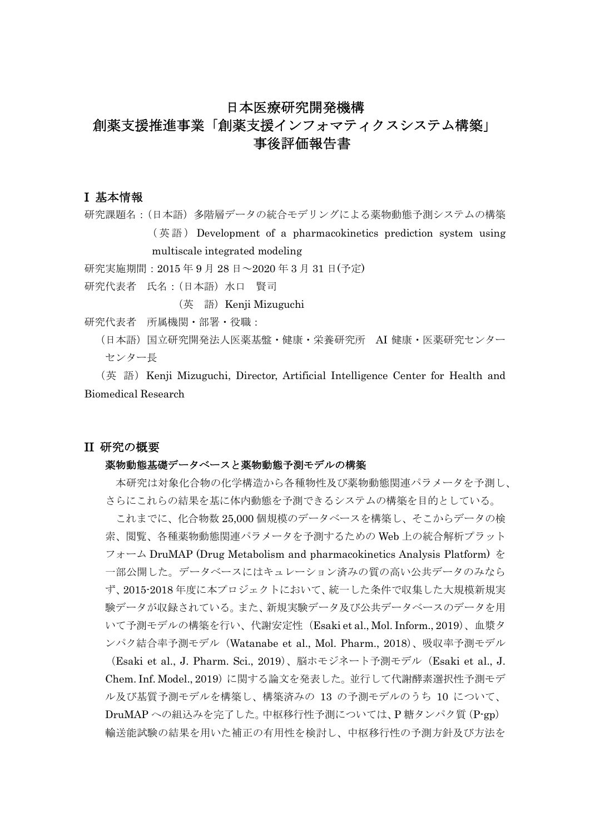## 日本医療研究開発機構

# 創薬支援推進事業「創薬支援インフォマティクスシステム構築」 事後評価報告書

## I 基本情報

研究課題名:(日本語)多階層データの統合モデリングによる薬物動態予測システムの構築 ( 英 語 ) Development of a pharmacokinetics prediction system using multiscale integrated modeling

研究実施期間:2015 年 9 月 28 日~2020 年 3 月 31 日(予定)

研究代表者 氏名:(日本語)水口 賢司

(英 語) Kenji Mizuguchi

研究代表者 所属機関・部署・役職:

(日本語)国立研究開発法人医薬基盤・健康・栄養研究所 AI 健康・医薬研究センター センター長

(英 語) Kenji Mizuguchi, Director, Artificial Intelligence Center for Health and Biomedical Research

## II 研究の概要

#### 薬物動態基礎データベースと薬物動態予測モデルの構築

本研究は対象化合物の化学構造から各種物性及び薬物動態関連パラメータを予測し、 さらにこれらの結果を基に体内動態を予測できるシステムの構築を目的としている。

これまでに、化合物数 25,000 個規模のデータベースを構築し、そこからデータの検 索、閲覧、各種薬物動態関連パラメータを予測するための Web 上の統合解析プラット フォーム DruMAP (Drug Metabolism and pharmacokinetics Analysis Platform) を 一部公開した。データベースにはキュレーション済みの質の高い公共データのみなら ず、2015-2018 年度に本プロジェクトにおいて、統一した条件で収集した大規模新規実 験データが収録されている。また、新規実験データ及び公共データベースのデータを用 いて予測モデルの構築を行い、代謝安定性(Esaki et al., Mol. Inform., 2019)、血漿タ ンパク結合率予測モデル(Watanabe et al., Mol. Pharm., 2018)、吸収率予測モデル (Esaki et al., J. Pharm. Sci., 2019)、脳ホモジネート予測モデル(Esaki et al., J. Chem. Inf. Model., 2019)に関する論文を発表した。並行して代謝酵素選択性予測モデ ル及び基質予測モデルを構築し、構築済みの 13 の予測モデルのうち 10 について、

DruMAP への組込みを完了した。中枢移行性予測については、P 糖タンパク質(P-gp) 輸送能試験の結果を用いた補正の有用性を検討し、中枢移行性の予測方針及び方法を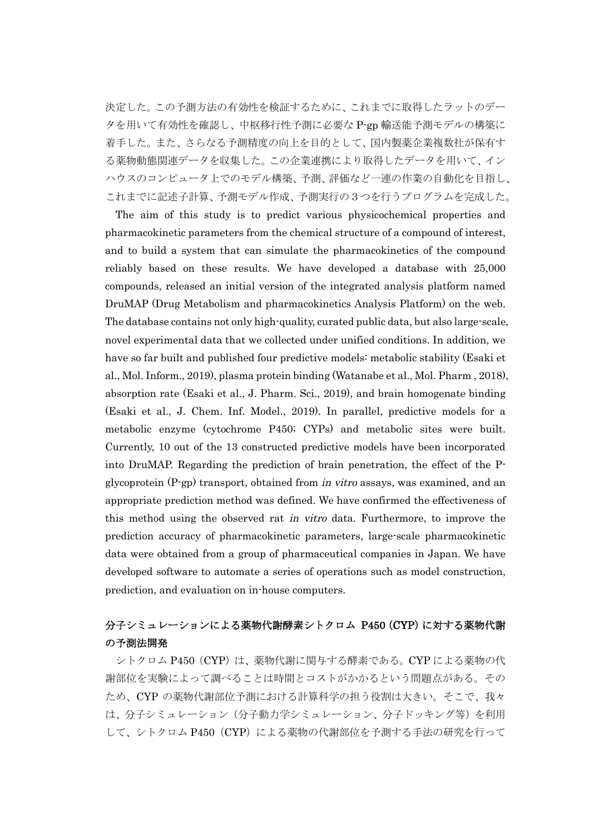決定した。この予測方法の有効性を検証するために、これまでに取得したラットのデー タを用いて有効性を確認し、中枢移行性予測に必要な P-gp 輸送能予測モデルの構築に 着手した。また、さらなる予測精度の向上を目的として、国内製薬企業複数社が保有す る薬物動態関連データを収集した。この企業連携により取得したデータを用いて、イン ハウスのコンピュータ上でのモデル構築、予測、評価など一連の作業の自動化を目指し、 これまでに記述子計算、予測モデル作成、予測実行の3つを行うプログラムを完成した。

The aim of this study is to predict various physicochemical properties and pharmacokinetic parameters from the chemical structure of a compound of interest, and to build a system that can simulate the pharmacokinetics of the compound reliably based on these results. We have developed a database with 25,000 compounds, released an initial version of the integrated analysis platform named DruMAP (Drug Metabolism and pharmacokinetics Analysis Platform) on the web. The database contains not only high-quality, curated public data, but also large-scale, novel experimental data that we collected under unified conditions. In addition, we have so far built and published four predictive models: metabolic stability (Esaki et al., Mol. Inform., 2019), plasma protein binding (Watanabe et al., Mol. Pharm , 2018), absorption rate (Esaki et al., J. Pharm. Sci., 2019), and brain homogenate binding (Esaki et al., J. Chem. Inf. Model., 2019). In parallel, predictive models for a metabolic enzyme (cytochrome P450; CYPs) and metabolic sites were built. Currently, 10 out of the 13 constructed predictive models have been incorporated into DruMAP. Regarding the prediction of brain penetration, the effect of the Pglycoprotein (P-gp) transport, obtained from in vitro assays, was examined, and an appropriate prediction method was defined. We have confirmed the effectiveness of this method using the observed rat in vitro data. Furthermore, to improve the prediction accuracy of pharmacokinetic parameters, large-scale pharmacokinetic data were obtained from a group of pharmaceutical companies in Japan. We have developed software to automate a series of operations such as model construction, prediction, and evaluation on in-house computers.

# 分子シミュレーションによる薬物代謝酵素シトクロム P450(CYP)に対する薬物代謝 の予測法開発

シトクロム P450 (CYP) は、薬物代謝に関与する酵素である。CYP による薬物の代 謝部位を実験によって調べることは時間とコストがかかるという問題点がある。その ため、CYP の薬物代謝部位予測における計算科学の担う役割は大きい。そこで、我々 は、分子シミュレーション(分子動力学シミュレーション、分子ドッキング等)を利用 して、シトクロム P450 (CYP)による薬物の代謝部位を予測する手法の研究を行って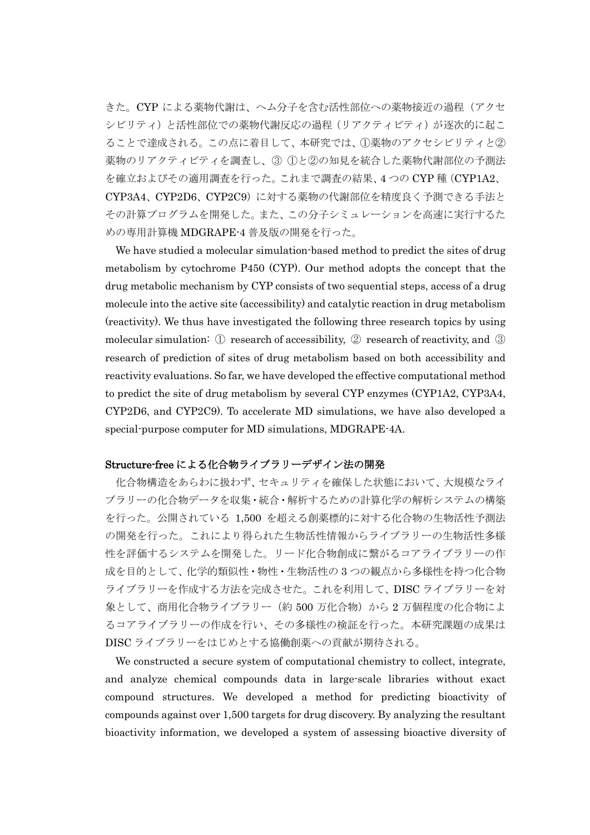きた。CYP による薬物代謝は、ヘム分子を含む活性部位への薬物接近の過程(アクセ シビリティ)と活性部位での薬物代謝反応の過程(リアクティビティ)が逐次的に起こ ることで達成される。この点に着目して、本研究では、①薬物のアクセシビリティと② 薬物のリアクティビティを調査し、③ ①と②の知見を統合した薬物代謝部位の予測法 を確立およびその適用調査を行った。これまで調査の結果、4 つの CYP 種(CYP1A2、 CYP3A4、CYP2D6、CYP2C9)に対する薬物の代謝部位を精度良く予測できる手法と その計算プログラムを開発した。また、この分子シミュレーションを高速に実行するた めの専用計算機 MDGRAPE-4 普及版の開発を行った。

We have studied a molecular simulation-based method to predict the sites of drug metabolism by cytochrome P450 (CYP). Our method adopts the concept that the drug metabolic mechanism by CYP consists of two sequential steps, access of a drug molecule into the active site (accessibility) and catalytic reaction in drug metabolism (reactivity). We thus have investigated the following three research topics by using molecular simulation: ① research of accessibility, ② research of reactivity, and ③ research of prediction of sites of drug metabolism based on both accessibility and reactivity evaluations. So far, we have developed the effective computational method to predict the site of drug metabolism by several CYP enzymes (CYP1A2, CYP3A4, CYP2D6, and CYP2C9). To accelerate MD simulations, we have also developed a special-purpose computer for MD simulations, MDGRAPE-4A.

# Structure-free による化合物ライブラリーデザイン法の開発

化合物構造をあらわに扱わず、セキュリティを確保した状態において、大規模なライ ブラリーの化合物データを収集・統合・解析するための計算化学の解析システムの構築 を行った。公開されている 1,500 を超える創薬標的に対する化合物の生物活性予測法 の開発を行った。これにより得られた生物活性情報からライブラリーの生物活性多様 性を評価するシステムを開発した。リード化合物創成に繋がるコアライブラリーの作 成を目的として、化学的類似性・物性・生物活性の 3 つの観点から多様性を持つ化合物 ライブラリーを作成する方法を完成させた。これを利用して、DISC ライブラリーを対 象として、商用化合物ライブラリー(約 500 万化合物)から 2 万個程度の化合物によ るコアライブラリーの作成を行い、その多様性の検証を行った。本研究課題の成果は DISC ライブラリーをはじめとする協働創薬への貢献が期待される。

We constructed a secure system of computational chemistry to collect, integrate, and analyze chemical compounds data in large-scale libraries without exact compound structures. We developed a method for predicting bioactivity of compounds against over 1,500 targets for drug discovery. By analyzing the resultant bioactivity information, we developed a system of assessing bioactive diversity of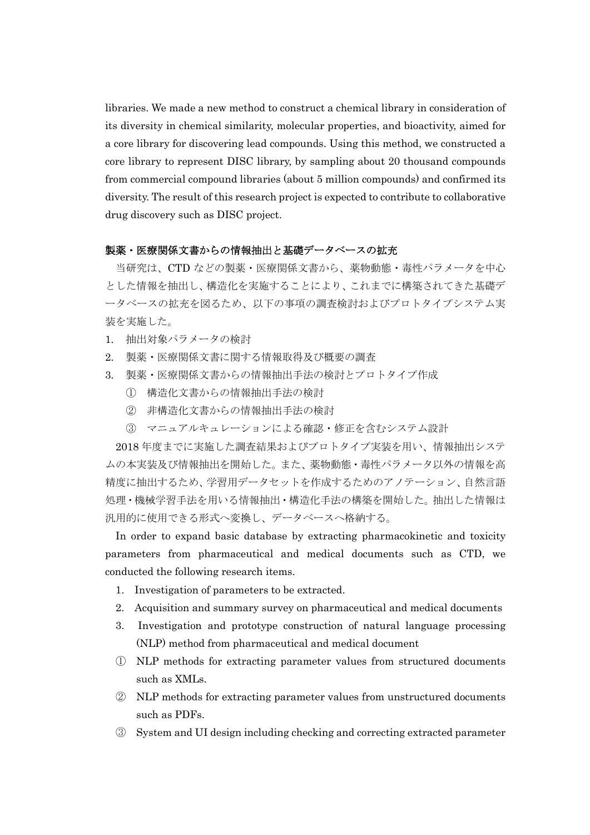libraries. We made a new method to construct a chemical library in consideration of its diversity in chemical similarity, molecular properties, and bioactivity, aimed for a core library for discovering lead compounds. Using this method, we constructed a core library to represent DISC library, by sampling about 20 thousand compounds from commercial compound libraries (about 5 million compounds) and confirmed its diversity. The result of this research project is expected to contribute to collaborative drug discovery such as DISC project.

## 製薬・医療関係文書からの情報抽出と基礎データベースの拡充

当研究は、CTD などの製薬・医療関係文書から、薬物動態・毒性パラメータを中心 とした情報を抽出し、構造化を実施することにより、これまでに構築されてきた基礎デ ータベースの拡充を図るため、以下の事項の調査検討およびプロトタイプシステム実 装を実施した。

- 1. 抽出対象パラメータの検討
- 2. 製薬・医療関係文書に関する情報取得及び概要の調査
- 3. 製薬・医療関係文書からの情報抽出手法の検討とプロトタイプ作成
	- ① 構造化文書からの情報抽出手法の検討
	- ② 非構造化文書からの情報抽出手法の検討
	- ③ マニュアルキュレーションによる確認・修正を含むシステム設計

2018 年度までに実施した調査結果およびプロトタイプ実装を用い、情報抽出システ ムの本実装及び情報抽出を開始した。また、薬物動態・毒性パラメータ以外の情報を高 精度に抽出するため、学習用データセットを作成するためのアノテーション、自然言語 処理・機械学習手法を用いる情報抽出・構造化手法の構築を開始した。抽出した情報は 汎用的に使用できる形式へ変換し、データベースへ格納する。

In order to expand basic database by extracting pharmacokinetic and toxicity parameters from pharmaceutical and medical documents such as CTD, we conducted the following research items.

- 1. Investigation of parameters to be extracted.
- 2. Acquisition and summary survey on pharmaceutical and medical documents
- 3. Investigation and prototype construction of natural language processing (NLP) method from pharmaceutical and medical document
- ① NLP methods for extracting parameter values from structured documents such as XMLs.
- ② NLP methods for extracting parameter values from unstructured documents such as PDFs.
- ③ System and UI design including checking and correcting extracted parameter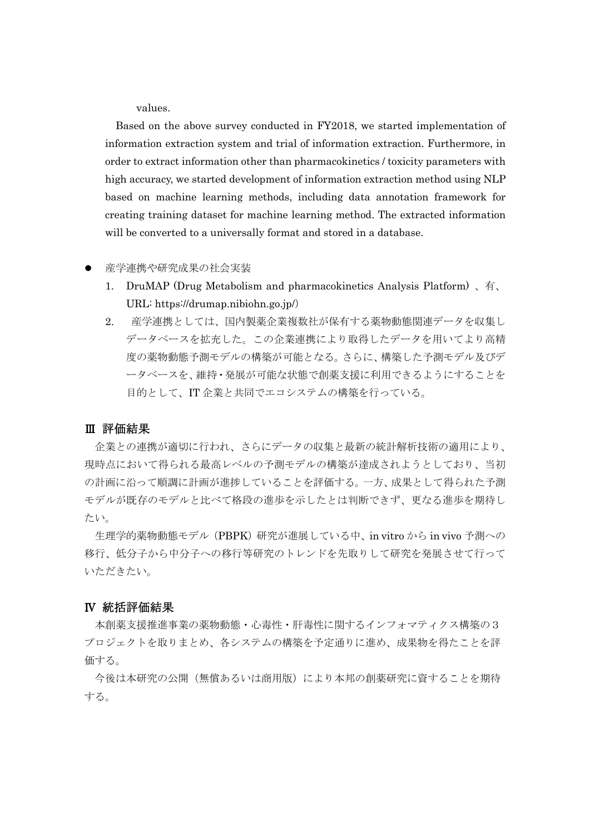values.

Based on the above survey conducted in FY2018, we started implementation of information extraction system and trial of information extraction. Furthermore, in order to extract information other than pharmacokinetics / toxicity parameters with high accuracy, we started development of information extraction method using NLP based on machine learning methods, including data annotation framework for creating training dataset for machine learning method. The extracted information will be converted to a universally format and stored in a database.

#### 産学連携や研究成果の社会実装

- 1. DruMAP (Drug Metabolism and pharmacokinetics Analysis Platform) 、有、 URL: https://drumap.nibiohn.go.jp/)
- 2. 産学連携としては、国内製薬企業複数社が保有する薬物動態関連データを収集し データベースを拡充した。この企業連携により取得したデータを用いてより高精 度の薬物動態予測モデルの構築が可能となる。さらに、構築した予測モデル及びデ ータベースを、維持・発展が可能な状態で創薬支援に利用できるようにすることを 目的として、IT 企業と共同でエコシステムの構築を行っている。

### Ⅲ 評価結果

企業との連携が適切に行われ、さらにデータの収集と最新の統計解析技術の適用により、 現時点において得られる最高レベルの予測モデルの構築が達成されようとしており、当初 の計画に沿って順調に計画が進捗していることを評価する。一方、成果として得られた予測 モデルが既存のモデルと比べて格段の進歩を示したとは判断できず、更なる進歩を期待し たい。

生理学的薬物動態モデル (PBPK)研究が進展している中、in vitro から in vivo 予測への 移行、低分子から中分子への移行等研究のトレンドを先取りして研究を発展させて行って いただきたい。

#### Ⅳ 統括評価結果

本創薬支援推進事業の薬物動態・心毒性・肝毒性に関するインフォマティクス構築の3 プロジェクトを取りまとめ、各システムの構築を予定通りに進め、成果物を得たことを評 価する。

今後は本研究の公開(無償あるいは商用版)により本邦の創薬研究に資することを期待 する。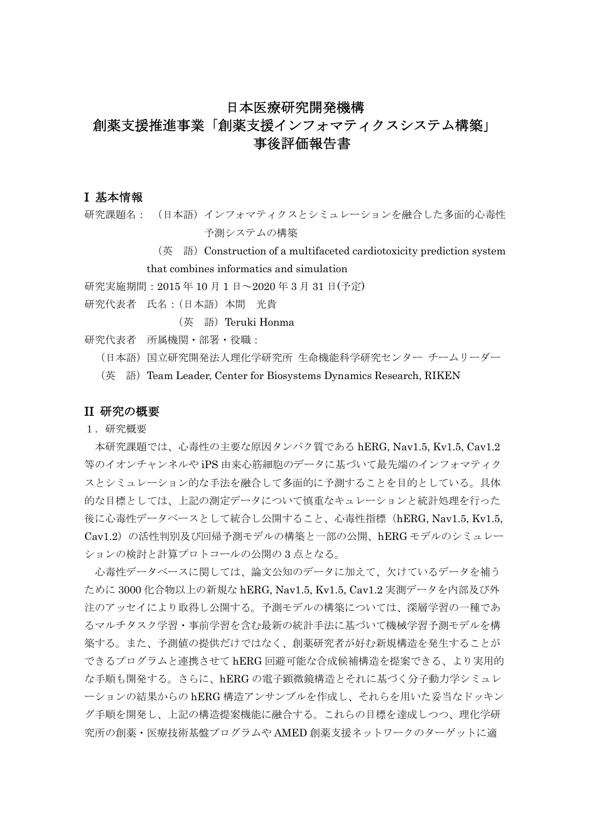# 日本医療研究開発機構 創薬支援推進事業「創薬支援インフォマティクスシステム構築」 事後評価報告書

## I 基本情報

研究課題名: (日本語)インフォマティクスとシミュレーションを融合した多面的心毒性 予測システムの構築

(英 語)Construction of a multifaceted cardiotoxicity prediction system

that combines informatics and simulation

研究実施期間:2015 年 10 月 1 日~2020 年 3 月 31 日(予定)

研究代表者 氏名:(日本語)本間 光貴

(英 語) Teruki Honma

研究代表者 所属機関・部署・役職:

(日本語)国立研究開発法人理化学研究所 生命機能科学研究センター チームリーダー

(英 語)Team Leader, Center for Biosystems Dynamics Research, RIKEN

## II 研究の概要

1.研究概要

本研究課題では、心毒性の主要な原因タンパク質である hERG, Nav1.5, Kv1.5, Cav1.2 等のイオンチャンネルや iPS 由来心筋細胞のデータに基づいて最先端のインフォマティク スとシミュレーション的な手法を融合して多面的に予測することを目的としている。具体 的な目標としては、上記の測定データについて慎重なキュレーションと統計処理を行った 後に心毒性データベースとして統合し公開すること、心毒性指標(hERG, Nav1.5, Kv1.5, Cav1.2)の活性判別及び回帰予測モデルの構築と一部の公開、hERG モデルのシミュレー ションの検討と計算プロトコールの公開の 3 点となる。

心毒性データベースに関しては、論文公知のデータに加えて、欠けているデータを補う ために 3000 化合物以上の新規な hERG, Nav1.5, Kv1.5, Cav1.2 実測データを内部及び外 注のアッセイにより取得し公開する。予測モデルの構築については、深層学習の一種であ るマルチタスク学習・事前学習を含む最新の統計手法に基づいて機械学習予測モデルを構 築する。また、予測値の提供だけではなく、創薬研究者が好む新規構造を発生することが できるプログラムと連携させて hERG 回避可能な合成候補構造を提案できる、より実用的 な手順も開発する。さらに、hERG の電子顕微鏡構造とそれに基づく分子動力学シミュレ ーションの結果からの hERG 構造アンサンブルを作成し、それらを用いた妥当なドッキン グ手順を開発し、上記の構造提案機能に融合する。これらの目標を達成しつつ、理化学研 究所の創薬・医療技術基盤プログラムや AMED 創薬支援ネットワークのターゲットに適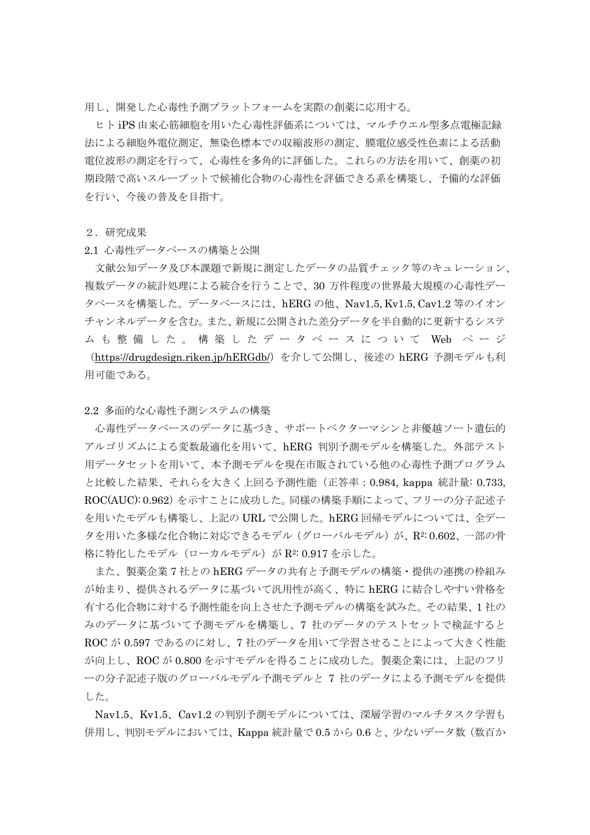用し、開発した心毒性予測プラットフォームを実際の創薬に応用する。

ヒト iPS 由来心筋細胞を用いた心毒性評価系については、マルチウエル型多点電極記録 法による細胞外電位測定、無染色標本での収縮波形の測定、膜電位感受性色素による活動 電位波形の測定を行って、心毒性を多角的に評価した。これらの方法を用いて、創薬の初 期段階で高いスループットで候補化合物の心毒性を評価できる系を構築し、予備的な評価 を行い、今後の普及を目指す。

2.研究成果

2.1 心毒性データベースの構築と公開

文献公知データ及び本課題で新規に測定したデータの品質チェック等のキュレーション、 複数データの統計処理による統合を行うことで、30 万件程度の世界最大規模の心毒性デー タベースを構築した。データベースには、hERG の他、Nav1.5, Kv1.5, Cav1.2 等のイオン チャンネルデータを含む。また、新規に公開された差分データを半自動的に更新するシステ ム も 整 備 し た 。 構 築 し た デ ー タ ベ ー ス に つ い て Web ペ ー ジ (https://drugdesign.riken.jp/hERGdb/)を介して公開し、後述の hERG 予測モデルも利 用可能である。

2.2 [多面的な心毒性予測システムの構築](https://drugdesign.riken.jp/hERGdb/)

心毒性データベースのデータに基づき、サポートベクターマシンと非優越ソート遺伝的 アルゴリズムによる変数最適化を用いて、hERG 判別予測モデルを構築した。外部テスト 用データセットを用いて、本予測モデルを現在市販されている他の心毒性予測プログラム と比較した結果、それらを大きく上回る予測性能(正答率:0.984, kappa 統計量: 0.733, ROC(AUC): 0.962)を示すことに成功した。同様の構築手順によって、フリーの分子記述子 を用いたモデルも構築し、上記の URL で公開した。hERG 回帰モデルについては、全デー タを用いた多様な化合物に対応できるモデル(グローバルモデル)が、R2:0.602、一部の骨 格に特化したモデル (ローカルモデル) が R2: 0.917 を示した。

また、製薬企業 7 社との hERG データの共有と予測モデルの構築・提供の連携の枠組み が始まり、提供されるデータに基づいて汎用性が高く、特に hERG に結合しやすい骨格を 有する化合物に対する予測性能を向上させた予測モデルの構築を試みた。その結果、1 社の みのデータに基づいて予測モデルを構築し、7 社のデータのテストセットで検証すると ROC が 0.597 であるのに対し、7 社のデータを用いて学習させることによって大きく性能 が向上し、ROC が 0.800 を示すモデルを得ることに成功した。製薬企業には、上記のフリ ーの分子記述子版のグローバルモデル予測モデルと 7 社のデータによる予測モデルを提供 した。

Nav1.5、Kv1.5、Cav1.2 の判別予測モデルについては、深層学習のマルチタスク学習も 併用し、判別モデルにおいては、Kappa 統計量で 0.5 から 0.6 と、少ないデータ数(数百か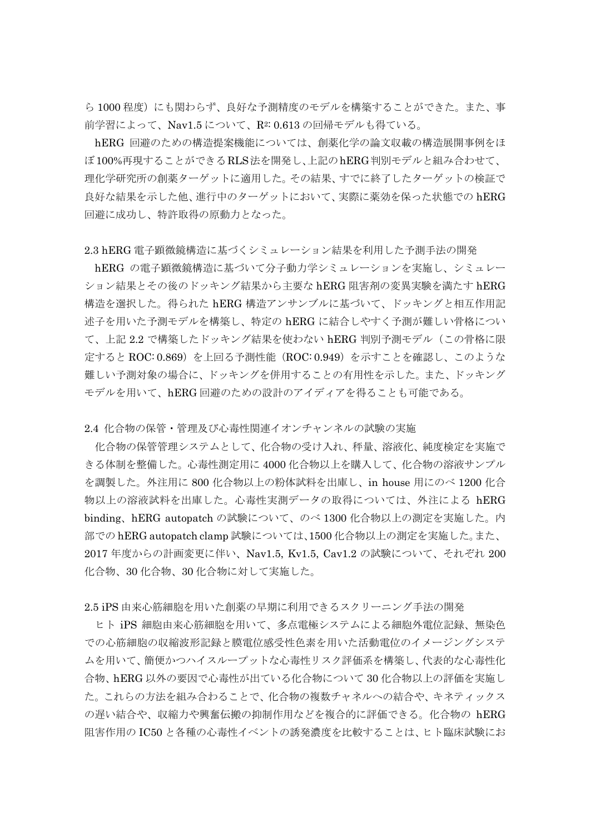ら 1000 程度)にも関わらず、良好な予測精度のモデルを構築することができた。また、事 前学習によって、Nav1.5 について、R2: 0.613 の回帰モデルも得ている。

hERG 回避のための構造提案機能については、創薬化学の論文収載の構造展開事例をほ ぼ100%再現することができるRLS法を開発し、上記のhERG判別モデルと組み合わせて、 理化学研究所の創薬ターゲットに適用した。その結果、すでに終了したターゲットの検証で 良好な結果を示した他、進行中のターゲットにおいて、実際に薬効を保った状態での hERG 回避に成功し、特許取得の原動力となった。

#### 2.3 hERG 電子顕微鏡構造に基づくシミュレーション結果を利用した予測手法の開発

hERG の電子顕微鏡構造に基づいて分子動力学シミュレーションを実施し、シミュレー ション結果とその後のドッキング結果から主要な hERG 阻害剤の変異実験を満たす hERG 構造を選択した。得られた hERG 構造アンサンブルに基づいて、ドッキングと相互作用記 述子を用いた予測モデルを構築し、特定の hERG に結合しやすく予測が難しい骨格につい て、上記 2.2 で構築したドッキング結果を使わない hERG 判別予測モデル(この骨格に限 定すると ROC: 0.869)を上回る予測性能(ROC: 0.949)を示すことを確認し、このような 難しい予測対象の場合に、ドッキングを併用することの有用性を示した。また、ドッキング モデルを用いて、hERG 回避のための設計のアイディアを得ることも可能である。

2.4 化合物の保管・管理及び心毒性関連イオンチャンネルの試験の実施

化合物の保管管理システムとして、化合物の受け入れ、秤量、溶液化、純度検定を実施で きる体制を整備した。心毒性測定用に 4000 化合物以上を購入して、化合物の溶液サンプル を調製した。外注用に 800 化合物以上の粉体試料を出庫し、in house 用にのべ 1200 化合 物以上の溶液試料を出庫した。心毒性実測データの取得については、外注による hERG binding、hERG autopatch の試験について、のべ 1300 化合物以上の測定を実施した。内 部での hERG autopatch clamp 試験については、1500 化合物以上の測定を実施した。また、 2017 年度からの計画変更に伴い、Nav1.5, Kv1.5, Cav1.2 の試験について、それぞれ 200 化合物、30 化合物、30 化合物に対して実施した。

2.5 iPS 由来心筋細胞を用いた創薬の早期に利用できるスクリーニング手法の開発

ヒト iPS 細胞由来心筋細胞を用いて、多点電極システムによる細胞外電位記録、無染色 での心筋細胞の収縮波形記録と膜電位感受性色素を用いた活動電位のイメージングシステ ムを用いて、簡便かつハイスループットな心毒性リスク評価系を構築し、代表的な心毒性化 合物、hERG 以外の要因で心毒性が出ている化合物について 30 化合物以上の評価を実施し た。これらの方法を組み合わることで、化合物の複数チャネルへの結合や、キネティックス の遅い結合や、収縮力や興奮伝搬の抑制作用などを複合的に評価できる。化合物の hERG 阻害作用の IC50 と各種の心毒性イベントの誘発濃度を比較することは、ヒト臨床試験にお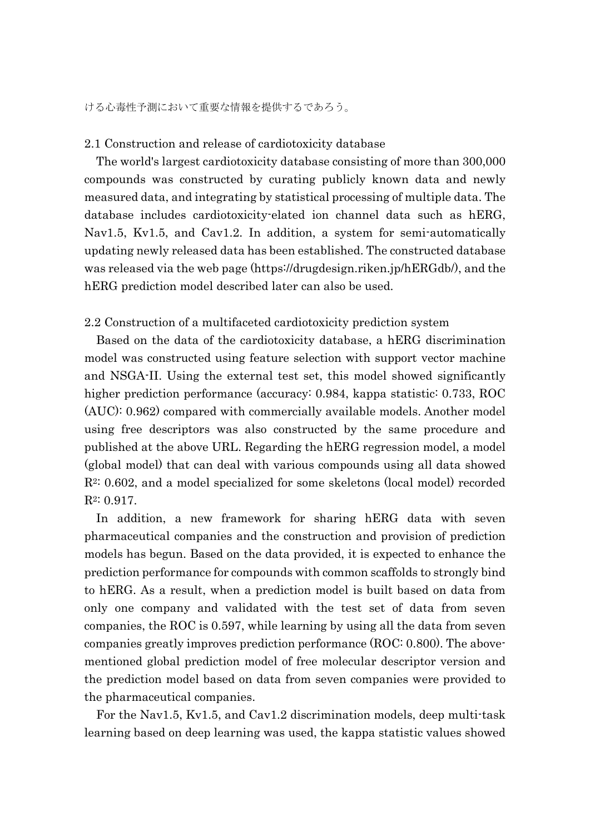### 2.1 Construction and release of cardiotoxicity database

The world's largest cardiotoxicity database consisting of more than 300,000 compounds was constructed by curating publicly known data and newly measured data, and integrating by statistical processing of multiple data. The database includes cardiotoxicity-elated ion channel data such as hERG, Nav1.5, Kv1.5, and Cav1.2. In addition, a system for semi-automatically updating newly released data has been established. The constructed database was released via the web page (https://drugdesign.riken.jp/hERGdb/), and the hERG prediction model described later can also be used.

## 2.2 Construction of a multifaceted cardiotoxicity prediction system

Based on the data of the cardiotoxicity database, a hERG discrimination model was constructed using feature selection with support vector machine and NSGA-II. Using the external test set, this model showed significantly higher prediction performance (accuracy: 0.984, kappa statistic: 0.733, ROC (AUC): 0.962) compared with commercially available models. Another model using free descriptors was also constructed by the same procedure and published at the above URL. Regarding the hERG regression model, a model (global model) that can deal with various compounds using all data showed R2: 0.602, and a model specialized for some skeletons (local model) recorded R2: 0.917.

In addition, a new framework for sharing hERG data with seven pharmaceutical companies and the construction and provision of prediction models has begun. Based on the data provided, it is expected to enhance the prediction performance for compounds with common scaffolds to strongly bind to hERG. As a result, when a prediction model is built based on data from only one company and validated with the test set of data from seven companies, the ROC is 0.597, while learning by using all the data from seven companies greatly improves prediction performance (ROC: 0.800). The abovementioned global prediction model of free molecular descriptor version and the prediction model based on data from seven companies were provided to the pharmaceutical companies.

For the Nav1.5, Kv1.5, and Cav1.2 discrimination models, deep multi-task learning based on deep learning was used, the kappa statistic values showed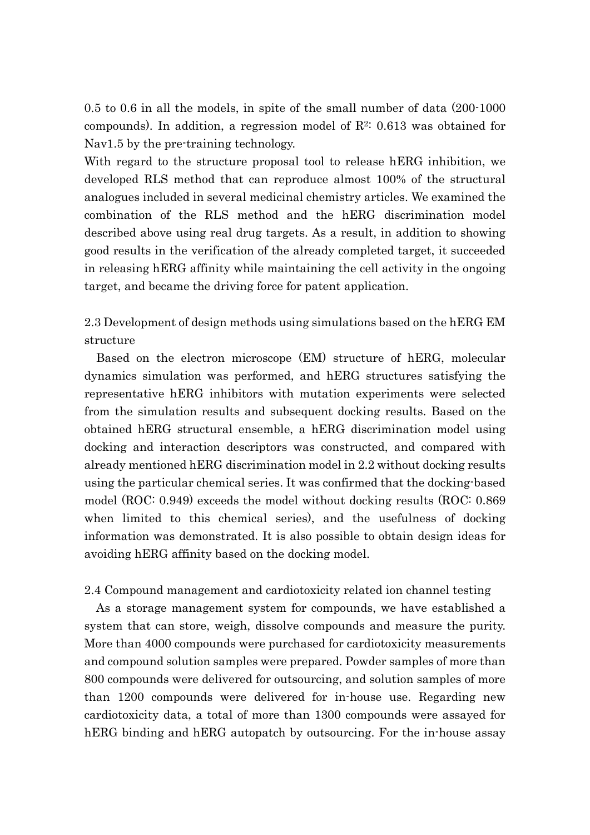0.5 to 0.6 in all the models, in spite of the small number of data (200-1000 compounds). In addition, a regression model of  $\mathbb{R}^2$ : 0.613 was obtained for Nav1.5 by the pre-training technology.

With regard to the structure proposal tool to release hERG inhibition, we developed RLS method that can reproduce almost 100% of the structural analogues included in several medicinal chemistry articles. We examined the combination of the RLS method and the hERG discrimination model described above using real drug targets. As a result, in addition to showing good results in the verification of the already completed target, it succeeded in releasing hERG affinity while maintaining the cell activity in the ongoing target, and became the driving force for patent application.

2.3 Development of design methods using simulations based on the hERG EM structure

Based on the electron microscope (EM) structure of hERG, molecular dynamics simulation was performed, and hERG structures satisfying the representative hERG inhibitors with mutation experiments were selected from the simulation results and subsequent docking results. Based on the obtained hERG structural ensemble, a hERG discrimination model using docking and interaction descriptors was constructed, and compared with already mentioned hERG discrimination model in 2.2 without docking results using the particular chemical series. It was confirmed that the docking-based model (ROC: 0.949) exceeds the model without docking results (ROC: 0.869 when limited to this chemical series), and the usefulness of docking information was demonstrated. It is also possible to obtain design ideas for avoiding hERG affinity based on the docking model.

2.4 Compound management and cardiotoxicity related ion channel testing

As a storage management system for compounds, we have established a system that can store, weigh, dissolve compounds and measure the purity. More than 4000 compounds were purchased for cardiotoxicity measurements and compound solution samples were prepared. Powder samples of more than 800 compounds were delivered for outsourcing, and solution samples of more than 1200 compounds were delivered for in-house use. Regarding new cardiotoxicity data, a total of more than 1300 compounds were assayed for hERG binding and hERG autopatch by outsourcing. For the in-house assay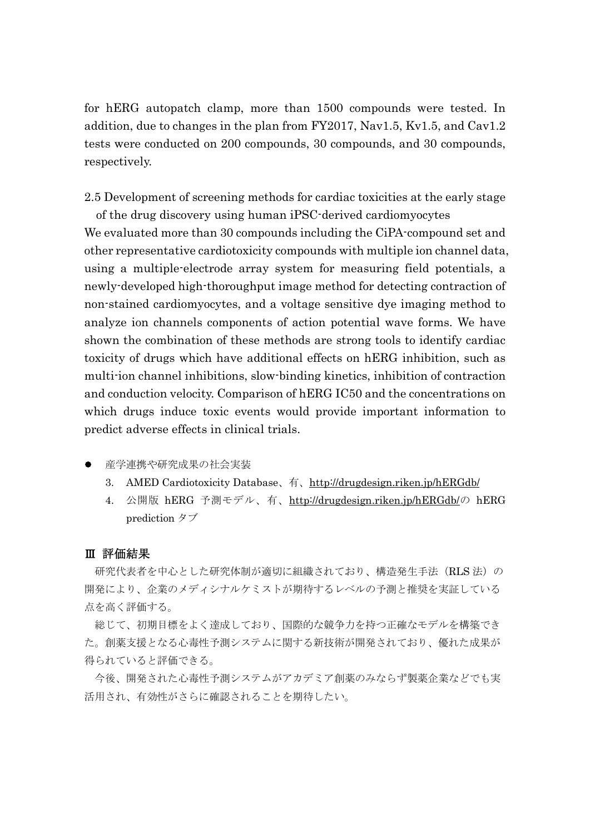for hERG autopatch clamp, more than 1500 compounds were tested. In addition, due to changes in the plan from FY2017, Nav1.5, Kv1.5, and Cav1.2 tests were conducted on 200 compounds, 30 compounds, and 30 compounds, respectively.

2.5 Development of screening methods for cardiac toxicities at the early stage

of the drug discovery using human iPSC-derived cardiomyocytes We evaluated more than 30 compounds including the CiPA-compound set and other representative cardiotoxicity compounds with multiple ion channel data, using a multiple-electrode array system for measuring field potentials, a newly-developed high-thoroughput image method for detecting contraction of non-stained cardiomyocytes, and a voltage sensitive dye imaging method to analyze ion channels components of action potential wave forms. We have shown the combination of these methods are strong tools to identify cardiac toxicity of drugs which have additional effects on hERG inhibition, such as multi-ion channel inhibitions, slow-binding kinetics, inhibition of contraction and conduction velocity. Comparison of hERG IC50 and the concentrations on which drugs induce toxic events would provide important information to predict adverse effects in clinical trials.

- 産学連携や研究成果の社会実装
	- 3. AMED Cardiotoxicity Database、有、http://drugdesign.riken.jp/hERGdb/
	- 4. 公開版 hERG 予測モデル、有、http://drugdesign.riken.jp/hERGdb/の hERG prediction タブ

#### Ⅲ 評価結果

研究代表者を中心とした研究体制が適切に組織されており、構造発生手法(RLS法)の 開発により、企業のメディシナルケミストが期待するレベルの予測と推奨を実証している 点を高く評価する。

総じて、初期目標をよく達成しており、国際的な競争力を持つ正確なモデルを構築でき た。創薬支援となる心毒性予測システムに関する新技術が開発されており、優れた成果が 得られていると評価できる。

今後、開発された心毒性予測システムがアカデミア創薬のみならず製薬企業などでも実 活用され、有効性がさらに確認されることを期待したい。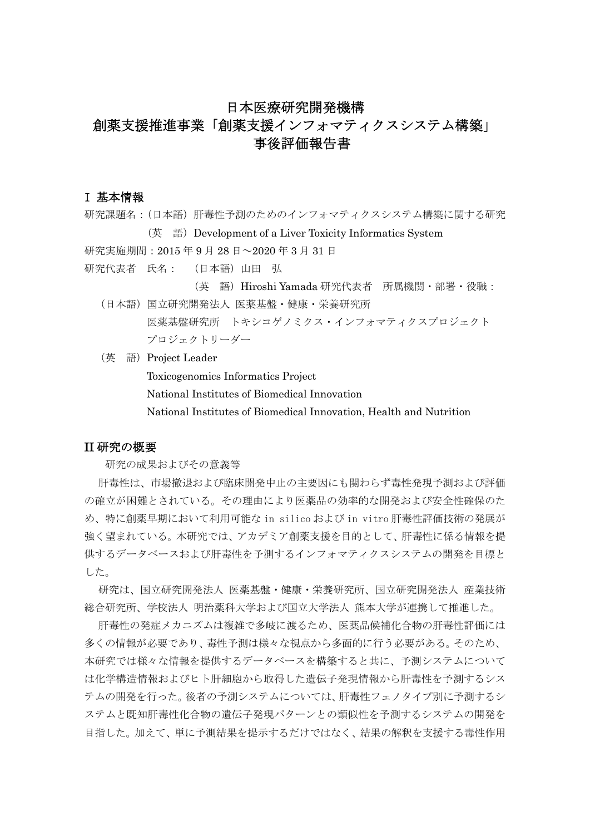## 日本医療研究開発機構

# 創薬支援推進事業「創薬支援インフォマティクスシステム構築」 事後評価報告書

## I 基本情報

研究課題名:(日本語)肝毒性予測のためのインフォマティクスシステム構築に関する研究 (英 語)Development of a Liver Toxicity Informatics System 研究実施期間:2015 年 9 月 28 日~2020 年 3 月 31 日

研究代表者 氏名: (日本語)山田 弘

(英 語)Hiroshi Yamada 研究代表者 所属機関・部署・役職:

- (日本語)国立研究開発法人 医薬基盤・健康・栄養研究所 医薬基盤研究所 トキシコゲノミクス・インフォマティクスプロジェクト プロジェクトリーダー
- (英 語)Project Leader

Toxicogenomics Informatics Project

National Institutes of Biomedical Innovation

National Institutes of Biomedical Innovation, Health and Nutrition

## II 研究の概要

研究の成果およびその意義等

肝毒性は、市場撤退および臨床開発中止の主要因にも関わらず毒性発現予測および評価 の確立が困難とされている。その理由により医薬品の効率的な開発および安全性確保のた め、特に創薬早期において利用可能な in silico および in vitro 肝毒性評価技術の発展が 強く望まれている。本研究では、アカデミア創薬支援を目的として、肝毒性に係る情報を提 供するデータベースおよび肝毒性を予測するインフォマティクスシステムの開発を目標と した。

研究は、国立研究開発法人 医薬基盤・健康・栄養研究所、国立研究開発法人 産業技術 総合研究所、学校法人 明治薬科大学および国立大学法人 熊本大学が連携して推進した。

肝毒性の発症メカニズムは複雑で多岐に渡るため、医薬品候補化合物の肝毒性評価には 多くの情報が必要であり、毒性予測は様々な視点から多面的に行う必要がある。そのため、 本研究では様々な情報を提供するデータベースを構築すると共に、予測システムについて は化学構造情報およびトト肝細胞から取得した遺伝子発現情報から肝毒性を予測するシス テムの開発を行った。後者の予測システムについては、肝毒性フェノタイプ別に予測するシ ステムと既知肝毒性化合物の遺伝子発現パターンとの類似性を予測するシステムの開発を 目指した。加えて、単に予測結果を提示するだけではなく、結果の解釈を支援する毒性作用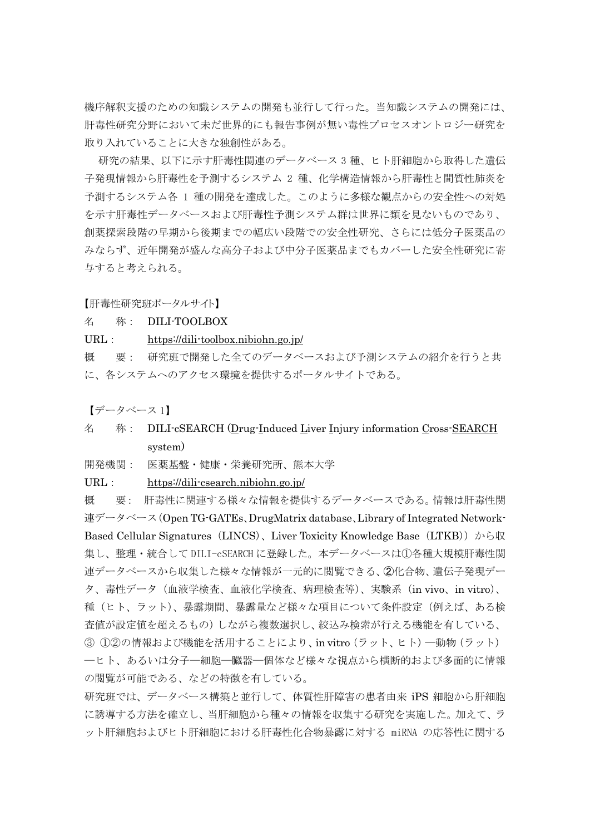機序解釈支援のための知識システムの開発も並行して行った。当知識システムの開発には、 肝毒性研究分野において未だ世界的にも報告事例が無い毒性プロセスオントロジー研究を 取り入れていることに大きな独創性がある。

研究の結果、以下に示す肝毒性関連のデータベース 3 種、ヒト肝細胞から取得した遺伝 子発現情報から肝毒性を予測するシステム 2 種、化学構造情報から肝毒性と間質性肺炎を 予測するシステム各 1 種の開発を達成した。このように多様な観点からの安全性への対処 を示す肝毒性データベースおよび肝毒性予測システム群は世界に類を見ないものであり、 創薬探索段階の早期から後期までの幅広い段階での安全性研究、さらには低分子医薬品の みならず、近年開発が盛んな高分子および中分子医薬品までもカバーした安全性研究に寄 与すると考えられる。

【肝毒性研究班ポータルサイト】

#### 名 称: DILI-TOOLBOX

#### URL: https://dili-toolbox.nibiohn.go.jp/

概 要: 研究班で開発した全てのデータベースおよび予測システムの紹介を行うと共 に、各システムへのアクセス環境を提供するポータルサイトである。

【データベース 1】

# 名 称: DILI-cSEARCH (Drug-Induced Liver Injury information Cross-SEARCH) system)

開発機関: 医薬基盤・健康・栄養研究所、熊本大学

URL: https://dili-csearch.nibiohn.go.jp/

概 要: 肝毒性に関連する様々な情報を提供するデータベースである。情報は肝毒性関 連データベース(Open TG-GATEs、DrugMatrix database、Library of Integrated Network-Based Cellular Signatures (LINCS)、Liver Toxicity Knowledge Base (LTKB)) から収 集し、整理・統合して DILI-cSEARCH に登録した。本データベースは①各種大規模肝毒性関 連データベースから収集した様々な情報が一元的に閲覧できる、➁化合物、遺伝子発現デー タ、毒性データ(血液学検査、血液化学検査、病理検査等)、実験系(in vivo、in vitro)、 種(ヒト、ラット)、暴露期間、暴露量など様々な項目について条件設定(例えば、ある検 査値が設定値を超えるもの)しながら複数選択し、絞込み検索が行える機能を有している、 ③ ①②の情報および機能を活用することにより、in vitro(ラット、ヒト)―動物(ラット) ―ヒト、あるいは分子―細胞―臓器―個体など様々な視点から横断的および多面的に情報 の閲覧が可能である、などの特徴を有している。

研究班では、データベース構築と並行して、体質性肝障害の患者由来 iPS 細胞から肝細胞 に誘導する方法を確立し、当肝細胞から種々の情報を収集する研究を実施した。加えて、ラ ット肝細胞およびヒト肝細胞における肝毒性化合物暴露に対する miRNA の応答性に関する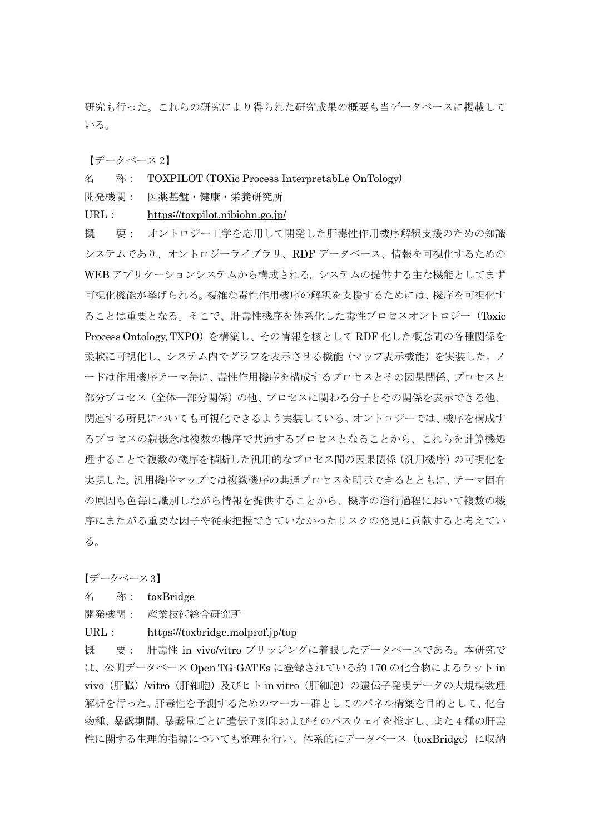研究も行った。これらの研究により得られた研究成果の概要も当データベースに掲載して いる。

【データベース 2】

#### 名 称: TOXPILOT (TOXic Process InterpretabLe OnTology)

開発機関: 医薬基盤・健康・栄養研究所

URL: https://toxpilot.nibiohn.go.jp/

概 要: オントロジー工学を応用して開発した肝毒性作用機序解釈支援のための知識 システムであり、オントロジーライブラリ、RDF データベース、情報を可視化するための WEB アプリケーションシステムから構成される。システムの提供する主な機能としてまず 可視化機能が挙げられる。複雑な毒性作用機序の解釈を支援するためには、機序を可視化す ることは重要となる。そこで、肝毒性機序を体系化した毒性プロセスオントロジー(Toxic Process Ontology, TXPO)を構築し、その情報を核として RDF 化した概念間の各種関係を 柔軟に可視化し、システム内でグラフを表示させる機能(マップ表示機能)を実装した。ノ ードは作用機序テーマ毎に、毒性作用機序を構成するプロセスとその因果関係、プロセスと 部分プロセス(全体―部分関係)の他、プロセスに関わる分子とその関係を表示できる他、 関連する所見についても可視化できるよう実装している。オントロジーでは、機序を構成す るプロセスの親概念は複数の機序で共通するプロセスとなることから、これらを計算機処 理することで複数の機序を横断した汎用的なプロセス間の因果関係(汎用機序)の可視化を 実現した。汎用機序マップでは複数機序の共通プロセスを明示できるとともに、テーマ固有 の原因も色毎に識別しながら情報を提供することから、機序の進行過程において複数の機 序にまたがる重要な因子や従来把握できていなかったリスクの発見に貢献すると考えてい る。

【データベース 3】

#### 名 称: toxBridge

開発機関: 産業技術総合研究所

URL: https://toxbridge.molprof.jp/top

概 要: 肝毒性 in vivo/vitro ブリッジングに着眼したデータベースである。本研究で は、公開データベース Open TG-GATEs に登録されている約 170 の化合物によるラット in vivo(肝臓)/vitro(肝細胞)及びヒト in vitro(肝細胞)の遺伝子発現データの大規模数理 解析を行った。肝毒性を予測するためのマーカー群としてのパネル構築を目的として、化合 物種、暴露期間、暴露量ごとに遺伝子刻印およびそのパスウェイを推定し、また 4 種の肝毒 性に関する生理的指標についても整理を行い、体系的にデータベース (toxBridge) に収納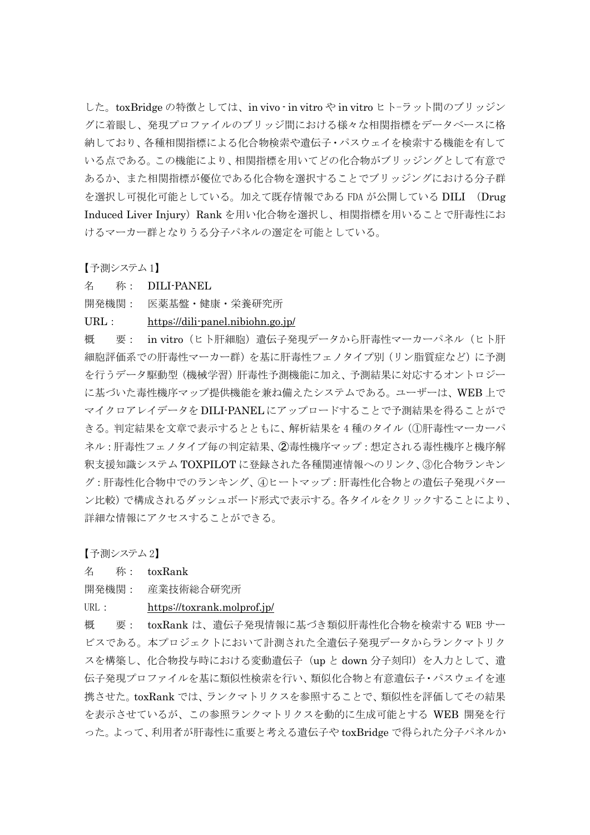した。toxBridge の特徴としては、in vivo - in vitro や in vitro ヒトーラット間のブリッジン グに着眼し、発現プロファイルのブリッジ間における様々な相関指標をデータベースに格 納しており、各種相関指標による化合物検索や遺伝子・パスウェイを検索する機能を有して いる点である。この機能により、相関指標を用いてどの化合物がブリッジングとして有意で あるか、また相関指標が優位である化合物を選択することでブリッジングにおける分子群 を選択し可視化可能としている。加えて既存情報である FDA が公開している DILI (Drug Induced Liver Injury) Rank を用い化合物を選択し、相関指標を用いることで肝毒性にお けるマーカー群となりうる分子パネルの選定を可能としている。

【予測システム 1】

名 称: DILI-PANEL

開発機関: 医薬基盤・健康・栄養研究所

URL: https://dili-panel.nibiohn.go.jp/

概 要: in vitro(ヒト肝細胞)遺伝子発現データから肝毒性マーカーパネル(ヒト肝 細胞評価系での肝毒性マーカー群)を基に肝毒性フェノタイプ別(リン脂質症など)に予測 を行うデータ駆動型(機械学習)肝毒性予測機能に加え、予測結果に対応するオントロジー に基づいた毒性機序マップ提供機能を兼ね備えたシステムである。ユーザーは、WEB 上で マイクロアレイデータを DILI-PANEL にアップロードすることで予測結果を得ることがで きる。判定結果を文章で表示するとともに、解析結果を 4 種のタイル(①肝毒性マーカーパ ネル:肝毒性フェノタイプ毎の判定結果、➁毒性機序マップ:想定される毒性機序と機序解 釈支援知識システム TOXPILOT に登録された各種関連情報へのリンク、③化合物ランキン グ:肝毒性化合物中でのランキング、④ヒートマップ:肝毒性化合物との遺伝子発現パター ン比較)で構成されるダッシュボード形式で表示する。各タイルをクリックすることにより、 詳細な情報にアクセスすることができる。

【予測システム 2】

名 称: toxRank

- 開発機関: 産業技術総合研究所
- URL: https://toxrank.molprof.jp/

概 要: toxRank は、遺伝子発現情報に基づき類似肝毒性化合物を検索する WEB サー ビスである。本プロジェクトにおいて計測された全遺伝子発現データからランクマトリク スを構築し、化合物投与時における変動遺伝子(up と down 分子刻印)を入力として、遺 伝子発現プロファイルを基に類似性検索を行い、類似化合物と有意遺伝子・パスウェイを連 携させた。toxRank では、ランクマトリクスを参照することで、類似性を評価してその結果 を表示させているが、この参照ランクマトリクスを動的に生成可能とする WEB 開発を行 った。よって、利用者が肝毒性に重要と考える遺伝子や toxBridge で得られた分子パネルか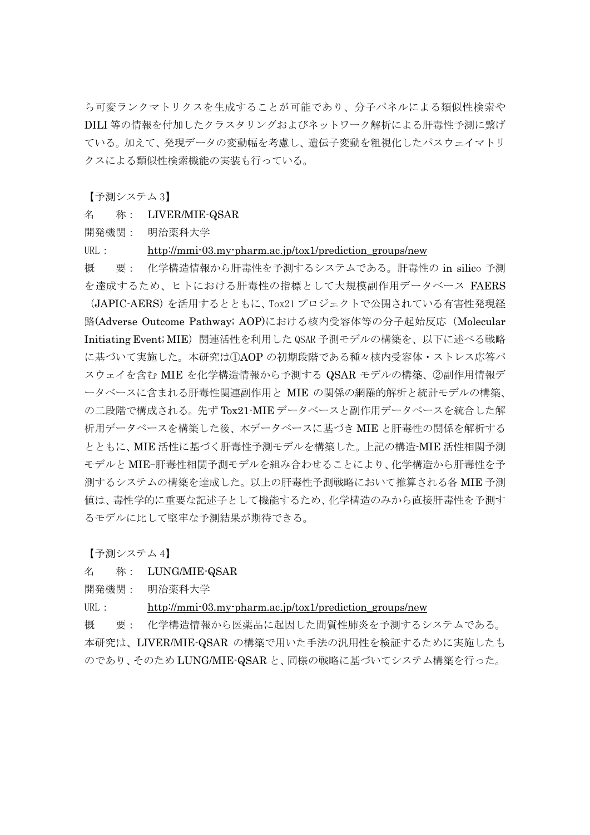ら可変ランクマトリクスを生成することが可能であり、分子パネルによる類似性検索や DILI 等の情報を付加したクラスタリングおよびネットワーク解析による肝毒性予測に繋げ ている。加えて、発現データの変動幅を考慮し、遺伝子変動を粗視化したパスウェイマトリ クスによる類似性検索機能の実装も行っている。

【予測システム 3】

名 称: LIVER/MIE-QSAR

開発機関: 明治薬科大学

URL: http://mmi-03.my-pharm.ac.jp/tox1/prediction\_groups/new

概 要: 化学構造情報から肝毒性を予測するシステムである。肝毒性の in silico 予測 を達成するため、ヒトにおける肝毒性の指標として大規模副作用データベース FAERS (JAPIC-AERS)を活用するとともに、Tox21 プロジェクトで公開されている有害性発現経 路(Adverse Outcome Pathway; AOP)における核内受容体等の分子起始反応(Molecular Initiating Event; MIE)関連活性を利用した QSAR 予測モデルの構築を、以下に述べる戦略 に基づいて実施した。本研究は①AOP の初期段階である種々核内受容体・ストレス応答パ スウェイを含む MIE を化学構造情報から予測する QSAR モデルの構築、②副作用情報デ ータベースに含まれる肝毒性関連副作用と MIE の関係の網羅的解析と統計モデルの構築、 の二段階で構成される。先ず Tox21-MIE データベースと副作用データベースを統合した解 析用データベースを構築した後、本データベースに基づき MIE と肝毒性の関係を解析する とともに、MIE 活性に基づく肝毒性予測モデルを構築した。上記の構造-MIE 活性相関予測 モデルと MIE-肝毒性相関予測モデルを組み合わせることにより、化学構造から肝毒性を予 測するシステムの構築を達成した。以上の肝毒性予測戦略において推算される各 MIE 予測 値は、毒性学的に重要な記述子として機能するため、化学構造のみから直接肝毒性を予測す るモデルに比して堅牢な予測結果が期待できる。

【予測システム 4】

#### 名 称: LUNG/MIE-QSAR

開発機関: 明治薬科大学

URL: http://mmi-03.my-pharm.ac.jp/tox1/prediction\_groups/new

概 要: 化学構造情報から医薬品に起因した間質性肺炎を予測するシステムである。 本研究は、LIVER/MIE-QSAR の構築で用いた手法の汎用性を検証するために実施したも のであり、そのため LUNG/MIE-QSAR と、同様の戦略に基づいてシステム構築を行った。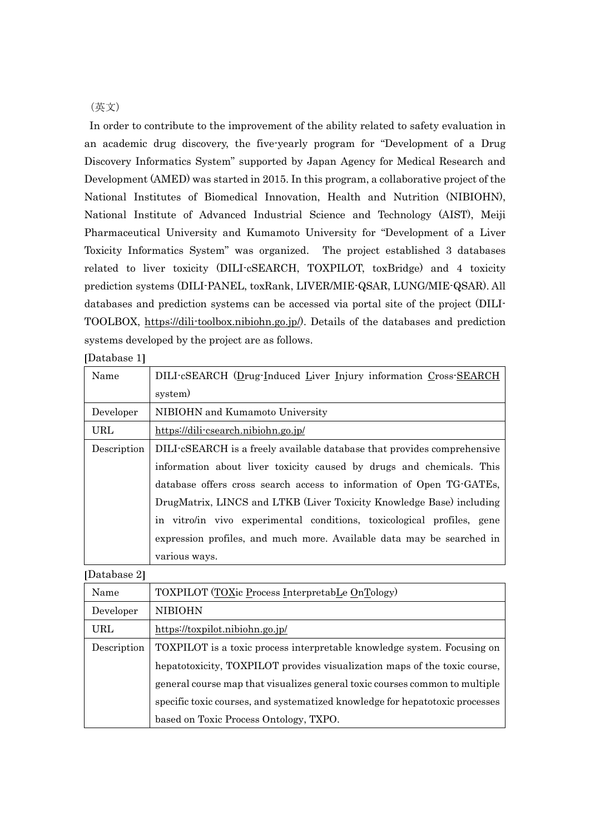## (英文)

In order to contribute to the improvement of the ability related to safety evaluation in an academic drug discovery, the five-yearly program for "Development of a Drug Discovery Informatics System" supported by Japan Agency for Medical Research and Development (AMED) was started in 2015. In this program, a collaborative project of the National Institutes of Biomedical Innovation, Health and Nutrition (NIBIOHN), National Institute of Advanced Industrial Science and Technology (AIST), Meiji Pharmaceutical University and Kumamoto University for "Development of a Liver Toxicity Informatics System" was organized. The project established 3 databases related to liver toxicity (DILI-cSEARCH, TOXPILOT, toxBridge) and 4 toxicity prediction systems (DILI-PANEL, toxRank, LIVER/MIE-QSAR, LUNG/MIE-QSAR). All databases and prediction systems can be accessed via portal site of the project (DILI-TOOLBOX, https://dili-toolbox.nibiohn.go.jp/). Details of the databases and prediction systems developed by the project are as follows.

| [Database 1] |  |  |
|--------------|--|--|
|--------------|--|--|

| Name        | DILI-cSEARCH (Drug-Induced Liver Injury information Cross-SEARCH        |
|-------------|-------------------------------------------------------------------------|
|             | system)                                                                 |
| Developer   | NIBIOHN and Kumamoto University                                         |
| URL         | https://dili-csearch.nibiohn.go.jp/                                     |
| Description | DILI-cSEARCH is a freely available database that provides comprehensive |
|             | information about liver toxicity caused by drugs and chemicals. This    |
|             | database offers cross search access to information of Open TG-GATEs,    |
|             | DrugMatrix, LINCS and LTKB (Liver Toxicity Knowledge Base) including    |
|             | in vitro/in vivo experimental conditions, toxicological profiles, gene  |
|             | expression profiles, and much more. Available data may be searched in   |
|             | various ways.                                                           |

Database 2

| Name        | TOXPILOT (TOXic Process InterpretabLe OnTology)                              |
|-------------|------------------------------------------------------------------------------|
| Developer   | <b>NIBIOHN</b>                                                               |
| URL.        | https://toxpilot.nibiohn.go.jp/                                              |
| Description | TOXPILOT is a toxic process interpretable knowledge system. Focusing on      |
|             | hepatotoxicity, TOXPILOT provides visualization maps of the toxic course,    |
|             | general course map that visualizes general toxic courses common to multiple  |
|             | specific toxic courses, and systematized knowledge for hepatotoxic processes |
|             | based on Toxic Process Ontology, TXPO.                                       |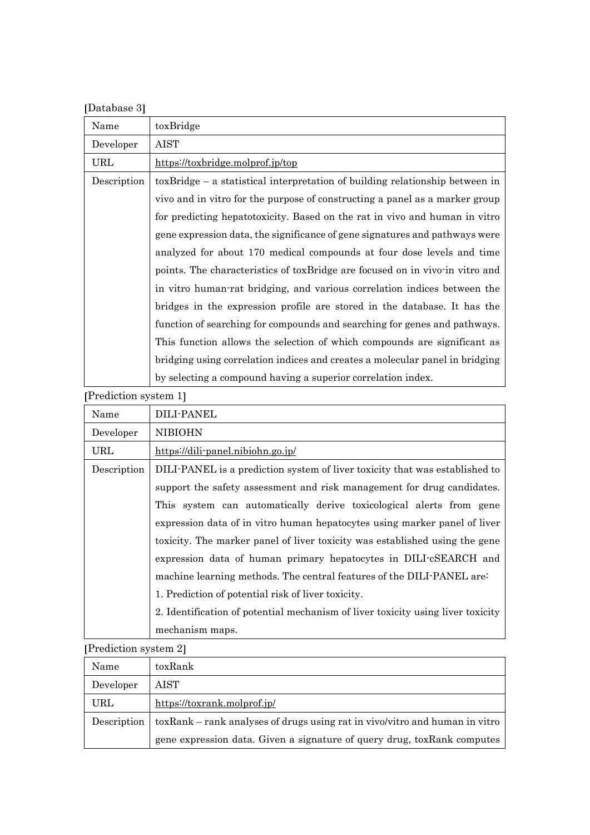| [Database 3] |  |
|--------------|--|
|--------------|--|

| Name        | toxBridge                                                                       |
|-------------|---------------------------------------------------------------------------------|
| Developer   | AIST                                                                            |
| URL         | https://toxbridge.molprof.jp/top                                                |
| Description | $tox Bridge - a statistical interpretation of building relationship between in$ |
|             | vivo and in vitro for the purpose of constructing a panel as a marker group     |
|             | for predicting hepatotoxicity. Based on the rat in vivo and human in vitro      |
|             | gene expression data, the significance of gene signatures and pathways were     |
|             | analyzed for about 170 medical compounds at four dose levels and time           |
|             | points. The characteristics of tox Bridge are focused on in vivo-in vitro and   |
|             | in vitro human-rat bridging, and various correlation indices between the        |
|             | bridges in the expression profile are stored in the database. It has the        |
|             | function of searching for compounds and searching for genes and pathways.       |
|             | This function allows the selection of which compounds are significant as        |
|             | bridging using correlation indices and creates a molecular panel in bridging    |
|             | by selecting a compound having a superior correlation index.                    |

Prediction system 1

| Name        | DILI-PANEL                                                                      |
|-------------|---------------------------------------------------------------------------------|
| Developer   | <b>NIBIOHN</b>                                                                  |
| URL         | https://dili-panel.nibiohn.go.jp/                                               |
| Description | DILI-PANEL is a prediction system of liver toxicity that was established to     |
|             | support the safety assessment and risk management for drug candidates.          |
|             | This system can automatically derive toxicological alerts from gene             |
|             | expression data of in vitro human hepatocytes using marker panel of liver       |
|             | toxicity. The marker panel of liver toxicity was established using the gene     |
|             | expression data of human primary hepatocytes in DILI-cSEARCH and                |
|             | machine learning methods. The central features of the DILI-PANEL are:           |
|             | 1. Prediction of potential risk of liver toxicity.                              |
|             | 2. Identification of potential mechanism of liver toxicity using liver toxicity |
|             | mechanism maps.                                                                 |

Prediction system 2

| Name        | toxRank                                                                     |
|-------------|-----------------------------------------------------------------------------|
| Developer   | <b>AIST</b>                                                                 |
| URL         | https://toxrank.molprof.jp/                                                 |
| Description | toxRank – rank analyses of drugs using rat in vivo/vitro and human in vitro |
|             | gene expression data. Given a signature of query drug, toxRank computes     |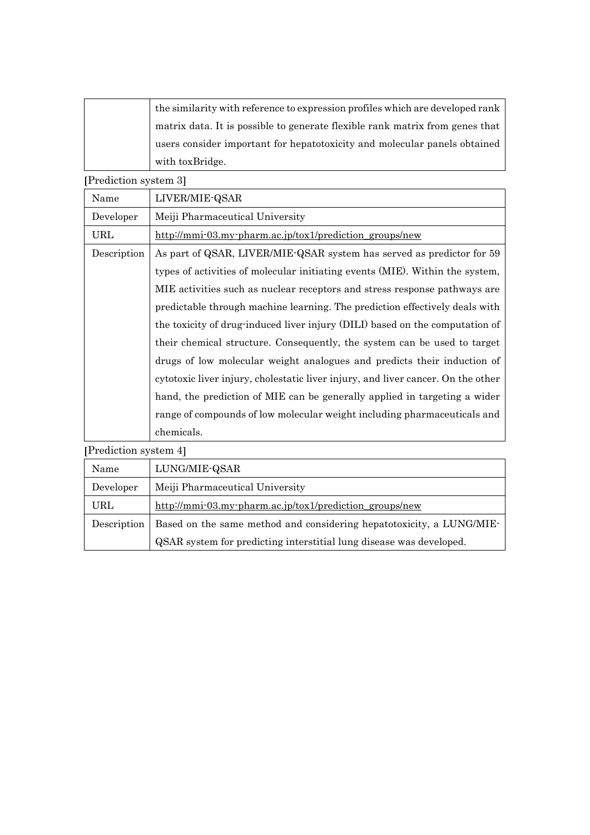| the similarity with reference to expression profiles which are developed rank |
|-------------------------------------------------------------------------------|
| matrix data. It is possible to generate flexible rank matrix from genes that  |
| users consider important for hepatotoxicity and molecular panels obtained     |
| with toxBridge.                                                               |

Prediction system 3

| Name        | LIVER/MIE-QSAR                                                                   |
|-------------|----------------------------------------------------------------------------------|
| Developer   | Meiji Pharmaceutical University                                                  |
| URL         | http://mmi-03.my-pharm.ac.jp/tox1/prediction groups/new                          |
| Description | As part of QSAR, LIVER/MIE-QSAR system has served as predictor for 59            |
|             | types of activities of molecular initiating events (MIE). Within the system,     |
|             | MIE activities such as nuclear receptors and stress response pathways are        |
|             | predictable through machine learning. The prediction effectively deals with      |
|             | the toxicity of drug-induced liver injury (DILI) based on the computation of     |
|             | their chemical structure. Consequently, the system can be used to target         |
|             | drugs of low molecular weight analogues and predicts their induction of          |
|             | cytotoxic liver injury, cholestatic liver injury, and liver cancer. On the other |
|             | hand, the prediction of MIE can be generally applied in targeting a wider        |
|             | range of compounds of low molecular weight including pharmaceuticals and         |
|             | chemicals.                                                                       |

Prediction system 4

| Name        | LUNG/MIE-QSAR                                                        |
|-------------|----------------------------------------------------------------------|
| Developer   | Meiji Pharmaceutical University                                      |
| URL         | http://mmi-03.my-pharm.ac.jp/tox1/prediction groups/new              |
| Description | Based on the same method and considering hepatotoxicity, a LUNG/MIE- |
|             | QSAR system for predicting interstitial lung disease was developed.  |